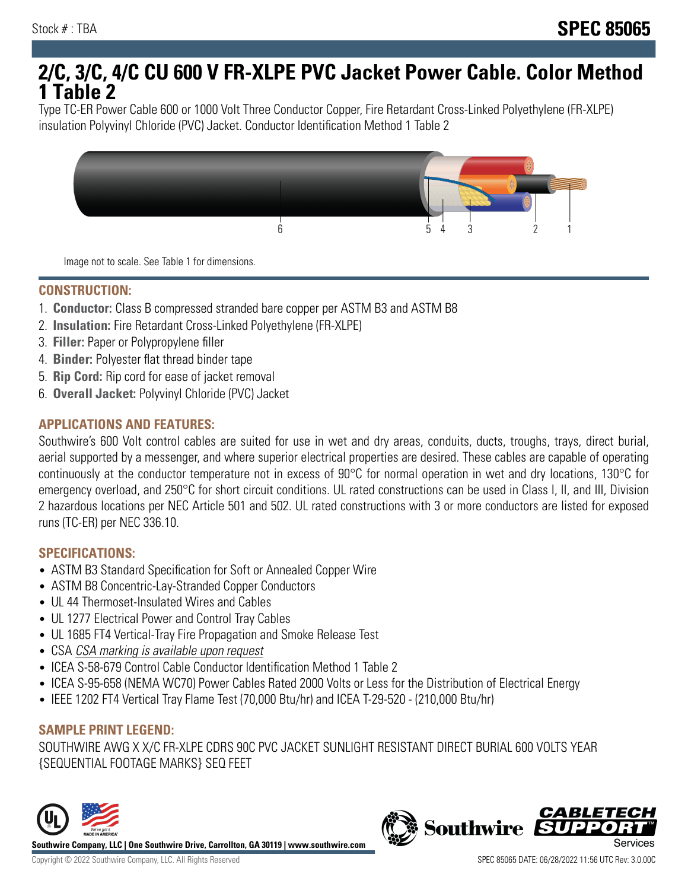# **2/C, 3/C, 4/C CU 600 V FR-XLPE PVC Jacket Power Cable. Color Method 1 Table 2**

Type TC-ER Power Cable 600 or 1000 Volt Three Conductor Copper, Fire Retardant Cross-Linked Polyethylene (FR-XLPE) insulation Polyvinyl Chloride (PVC) Jacket. Conductor Identification Method 1 Table 2



Image not to scale. See Table 1 for dimensions.

#### **CONSTRUCTION:**

- 1. **Conductor:** Class B compressed stranded bare copper per ASTM B3 and ASTM B8
- 2. **Insulation:** Fire Retardant Cross-Linked Polyethylene (FR-XLPE)
- 3. **Filler:** Paper or Polypropylene filler
- 4. **Binder:** Polyester flat thread binder tape
- 5. **Rip Cord:** Rip cord for ease of jacket removal
- 6. **Overall Jacket:** Polyvinyl Chloride (PVC) Jacket

## **APPLICATIONS AND FEATURES:**

Southwire's 600 Volt control cables are suited for use in wet and dry areas, conduits, ducts, troughs, trays, direct burial, aerial supported by a messenger, and where superior electrical properties are desired. These cables are capable of operating continuously at the conductor temperature not in excess of 90°C for normal operation in wet and dry locations, 130°C for emergency overload, and 250°C for short circuit conditions. UL rated constructions can be used in Class I, II, and III, Division 2 hazardous locations per NEC Article 501 and 502. UL rated constructions with 3 or more conductors are listed for exposed runs (TC-ER) per NEC 336.10.

#### **SPECIFICATIONS:**

- ASTM B3 Standard Specification for Soft or Annealed Copper Wire
- ASTM B8 Concentric-Lay-Stranded Copper Conductors
- UL 44 Thermoset-Insulated Wires and Cables
- UL 1277 Electrical Power and Control Tray Cables
- UL 1685 FT4 Vertical-Tray Fire Propagation and Smoke Release Test
- CSA CSA marking is available upon request
- ICEA S-58-679 Control Cable Conductor Identification Method 1 Table 2
- ICEA S-95-658 (NEMA WC70) Power Cables Rated 2000 Volts or Less for the Distribution of Electrical Energy
- IEEE 1202 FT4 Vertical Tray Flame Test (70,000 Btu/hr) and ICEA T-29-520 (210,000 Btu/hr)

#### **SAMPLE PRINT LEGEND:**

SOUTHWIRE AWG X X/C FR-XLPE CDRS 90C PVC JACKET SUNLIGHT RESISTANT DIRECT BURIAL 600 VOLTS YEAR {SEQUENTIAL FOOTAGE MARKS} SEQ FEET